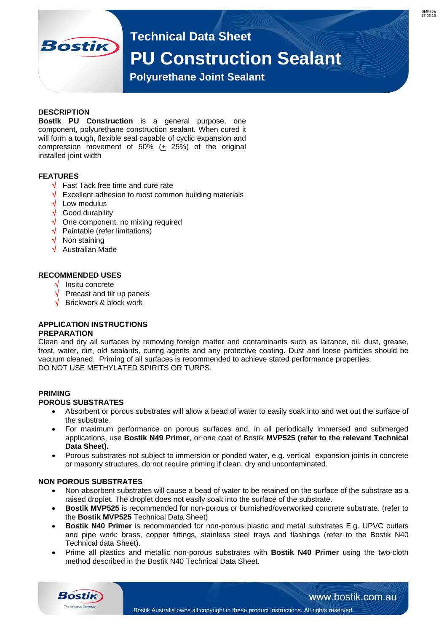**Technical Data Sheet**

# **PU Construction Sealant**

 **Polyurethane Joint Sealant** 

# **DESCRIPTION**

**Bostik** 

**Bostik PU Construction** is a general purpose, one component, polyurethane construction sealant. When cured it will form a tough, flexible seal capable of cyclic expansion and compression movement of 50% (+ 25%) of the original installed joint width

### **FEATURES**

- $\sqrt{\phantom{a}}$  Fast Tack free time and cure rate
- Excellent adhesion to most common building materials
- $\sqrt{\phantom{a}}$  Low modulus
- Good durability
- One component, no mixing required
- $\sqrt{\phantom{a}}$  Paintable (refer limitations)
- Non staining
- Australian Made

### **RECOMMENDED USES**

- $\sqrt{\phantom{a}}$  Insitu concrete
- $\sqrt{ }$  Precast and tilt up panels
- $\sqrt{\phantom{a}}$  Brickwork & block work

# **APPLICATION INSTRUCTIONS**

#### **PREPARATION**

Clean and dry all surfaces by removing foreign matter and contaminants such as laitance, oil, dust, grease, frost, water, dirt, old sealants, curing agents and any protective coating. Dust and loose particles should be vacuum cleaned. Priming of all surfaces is recommended to achieve stated performance properties. DO NOT USE METHYLATED SPIRITS OR TURPS.

#### **PRIMING POROUS SUBSTRATES**

- Absorbent or porous substrates will allow a bead of water to easily soak into and wet out the surface of the substrate.
- For maximum performance on porous surfaces and, in all periodically immersed and submerged applications, use **Bostik N49 Primer**, or one coat of Bostik **MVP525 (refer to the relevant Technical Data Sheet).**
- Porous substrates not subject to immersion or ponded water, e.g. vertical expansion joints in concrete or masonry structures, do not require priming if clean, dry and uncontaminated.

## **NON POROUS SUBSTRATES**

- Non-absorbent substrates will cause a bead of water to be retained on the surface of the substrate as a raised droplet. The droplet does not easily soak into the surface of the substrate.
- **Bostik MVP525** is recommended for non-porous or burnished/overworked concrete substrate. (refer to the **Bostik MVP525** Technical Data Sheet)
- **Bostik N40 Primer** is recommended for non-porous plastic and metal substrates E.g. UPVC outlets and pipe work: brass, copper fittings, stainless steel trays and flashings (refer to the Bostik N40 Technical data Sheet).
- Prime all plastics and metallic non-porous substrates with **Bostik N40 Primer** using the two-cloth method described in the Bostik N40 Technical Data Sheet.



www.bostik.com.au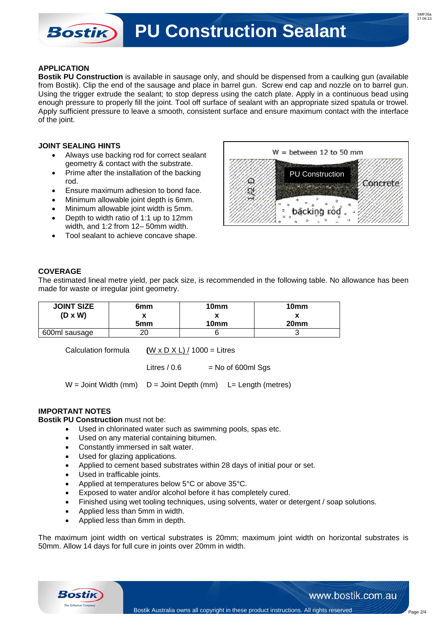**PU Construction Sealant** 

### **APPLICATION**

**Bostik** 

**Bostik PU Construction** is available in sausage only, and should be dispensed from a caulking gun (available from Bostik). Clip the end of the sausage and place in barrel gun. Screw end cap and nozzle on to barrel gun. Using the trigger extrude the sealant; to stop depress using the catch plate. Apply in a continuous bead using enough pressure to properly fill the joint. Tool off surface of sealant with an appropriate sized spatula or trowel. Apply sufficient pressure to leave a smooth, consistent surface and ensure maximum contact with the interface of the joint.

### **JOINT SEALING HINTS**

- Always use backing rod for correct sealant geometry & contact with the substrate.
- Prime after the installation of the backing rod.
- Ensure maximum adhesion to bond face.
- Minimum allowable joint depth is 6mm.
- Minimum allowable joint width is 5mm.
- Depth to width ratio of 1:1 up to 12mm width, and 1:2 from 12– 50mm width.
- Tool sealant to achieve concave shape.



# **COVERAGE**

The estimated lineal metre yield, per pack size, is recommended in the following table. No allowance has been made for waste or irregular joint geometry.

| <b>JOINT SIZE</b> | 6mm             | 10 <sub>mm</sub> | 10 <sub>mm</sub> |
|-------------------|-----------------|------------------|------------------|
| $(D \times W)$    |                 | ́                |                  |
|                   | 5 <sub>mm</sub> | 10 <sub>mm</sub> | 20 <sub>mm</sub> |
| 600ml sausage     | റ്റ             |                  |                  |

Calculation formula **(**W x D X L) / 1000 = Litres

Litres  $/ 0.6$  = No of 600ml Sqs

 $W =$  Joint Width (mm)  $D =$  Joint Depth (mm)  $L =$  Length (metres)

# **IMPORTANT NOTES**

**Bostik PU Construction** must not be:

- Used in chlorinated water such as swimming pools, spas etc.
- Used on any material containing bitumen.
- Constantly immersed in salt water.
- Used for glazing applications.
- Applied to cement based substrates within 28 days of initial pour or set.
- Used in trafficable joints.
- Applied at temperatures below 5°C or above 35°C.
- Exposed to water and/or alcohol before it has completely cured.
- Finished using wet tooling techniques, using solvents, water or detergent / soap solutions.
- Applied less than 5mm in width.
- Applied less than 6mm in depth.

The maximum joint width on vertical substrates is 20mm; maximum joint width on horizontal substrates is 50mm. Allow 14 days for full cure in joints over 20mm in width.



www.bostik.com.au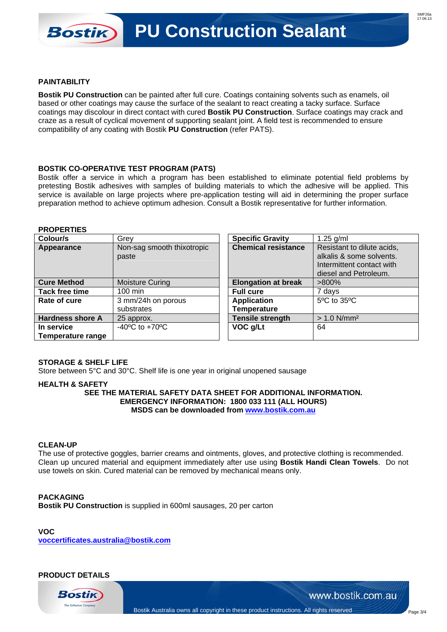## **PAINTABILITY**

**Bostik** 

**Bostik PU Construction** can be painted after full cure. Coatings containing solvents such as enamels, oil based or other coatings may cause the surface of the sealant to react creating a tacky surface. Surface coatings may discolour in direct contact with cured **Bostik PU Construction**. Surface coatings may crack and craze as a result of cyclical movement of supporting sealant joint. A field test is recommended to ensure compatibility of any coating with Bostik **PU Construction** (refer PATS).

### **BOSTIK CO-OPERATIVE TEST PROGRAM (PATS)**

Bostik offer a service in which a program has been established to eliminate potential field problems by pretesting Bostik adhesives with samples of building materials to which the adhesive will be applied. This service is available on large projects where pre-application testing will aid in determining the proper surface preparation method to achieve optimum adhesion. Consult a Bostik representative for further information.

#### **PROPERTIES**

| Colour/s                | Grey                               | <b>Specific Gravity</b>    | $1.25$ g/ml                |
|-------------------------|------------------------------------|----------------------------|----------------------------|
| Appearance              | Non-sag smooth thixotropic         | <b>Chemical resistance</b> | Resistant to dilute acids, |
|                         | paste                              |                            | alkalis & some solvents.   |
|                         |                                    |                            | Intermittent contact with  |
|                         |                                    |                            | diesel and Petroleum.      |
| <b>Cure Method</b>      | <b>Moisture Curing</b>             | <b>Elongation at break</b> | $>800\%$                   |
| Tack free time          | $100 \text{ min}$                  | <b>Full cure</b>           | 7 days                     |
| Rate of cure            | 3 mm/24h on porous                 | <b>Application</b>         | 5°C to 35°C                |
|                         | substrates                         | <b>Temperature</b>         |                            |
| <b>Hardness shore A</b> | 25 approx.                         | <b>Tensile strength</b>    | $> 1.0$ N/mm <sup>2</sup>  |
| In service              | $-40^{\circ}$ C to $+70^{\circ}$ C | VOC g/Lt                   | 64                         |
| Temperature range       |                                    |                            |                            |

#### **STORAGE & SHELF LIFE**

Store between 5°C and 30°C. Shelf life is one year in original unopened sausage

### **HEALTH & SAFETY**

**SEE THE MATERIAL SAFETY DATA SHEET FOR ADDITIONAL INFORMATION. EMERGENCY INFORMATION: 1800 033 111 (ALL HOURS) MSDS can be downloaded from www.bostik.com.au**

#### **CLEAN-UP**

The use of protective goggles, barrier creams and ointments, gloves, and protective clothing is recommended. Clean up uncured material and equipment immediately after use using **Bostik Handi Clean Towels**. Do not use towels on skin. Cured material can be removed by mechanical means only.

#### **PACKAGING**

**Bostik PU Construction** is supplied in 600ml sausages, 20 per carton

**VOC voccertificates.australia@bostik.com**

# **PRODUCT DETAILS**



www.bostik.com.au

Page 3/4

Bostik Australia owns all copyright in these product instructions. All rights reserved